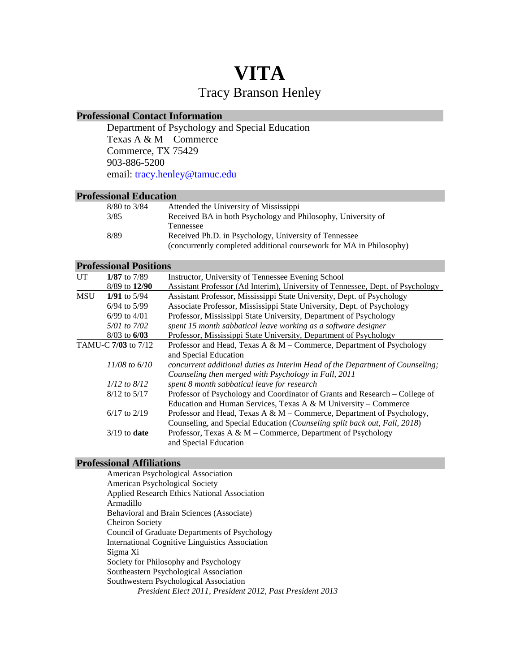# **VITA** Tracy Branson Henley

# **Professional Contact Information**

Department of Psychology and Special Education Texas A & M – Commerce Commerce, TX 75429 903-886-5200 email: [tracy.henley@tamuc.edu](mailto:tracy.henley@tamuc.edu)

# **Professional Education**

| 8/80 to 3/84 | Attended the University of Mississippi                              |
|--------------|---------------------------------------------------------------------|
| 3/85         | Received BA in both Psychology and Philosophy, University of        |
|              | Tennessee                                                           |
| 8/89         | Received Ph.D. in Psychology, University of Tennessee               |
|              | (concurrently completed additional coursework for MA in Philosophy) |

# **Professional Positions**

| UT                  | 1/87 to $7/89$    | Instructor, University of Tennessee Evening School                             |
|---------------------|-------------------|--------------------------------------------------------------------------------|
|                     | 8/89 to 12/90     | Assistant Professor (Ad Interim), University of Tennessee, Dept. of Psychology |
| <b>MSU</b>          | 1/91 to $5/94$    | Assistant Professor, Mississippi State University, Dept. of Psychology         |
|                     | $6/94$ to $5/99$  | Associate Professor, Mississippi State University, Dept. of Psychology         |
|                     | $6/99$ to $4/01$  | Professor, Mississippi State University, Department of Psychology              |
|                     | 5/01 to 7/02      | spent 15 month sabbatical leave working as a software designer                 |
|                     | $8/03$ to $6/03$  | Professor, Mississippi State University, Department of Psychology              |
| TAMU-C 7/03 to 7/12 |                   | Professor and Head, Texas A & M – Commerce, Department of Psychology           |
|                     |                   | and Special Education                                                          |
|                     | $11/08$ to $6/10$ | concurrent additional duties as Interim Head of the Department of Counseling;  |
|                     |                   | Counseling then merged with Psychology in Fall, 2011                           |
|                     | $1/12$ to $8/12$  | spent 8 month sabbatical leave for research                                    |
| $8/12$ to $5/17$    |                   | Professor of Psychology and Coordinator of Grants and Research – College of    |
|                     |                   | Education and Human Services, Texas A & M University – Commerce                |
|                     | $6/17$ to $2/19$  | Professor and Head, Texas A & M – Commerce, Department of Psychology,          |
|                     |                   | Counseling, and Special Education (Counseling split back out, Fall, 2018)      |
|                     | $3/19$ to date    | Professor, Texas A & M - Commerce, Department of Psychology                    |
|                     |                   | and Special Education                                                          |

# **Professional Affiliations**

American Psychological Association American Psychological Society Applied Research Ethics National Association Armadillo Behavioral and Brain Sciences (Associate) Cheiron Society Council of Graduate Departments of Psychology International Cognitive Linguistics Association Sigma Xi Society for Philosophy and Psychology Southeastern Psychological Association Southwestern Psychological Association *President Elect 2011, President 2012, Past President 2013*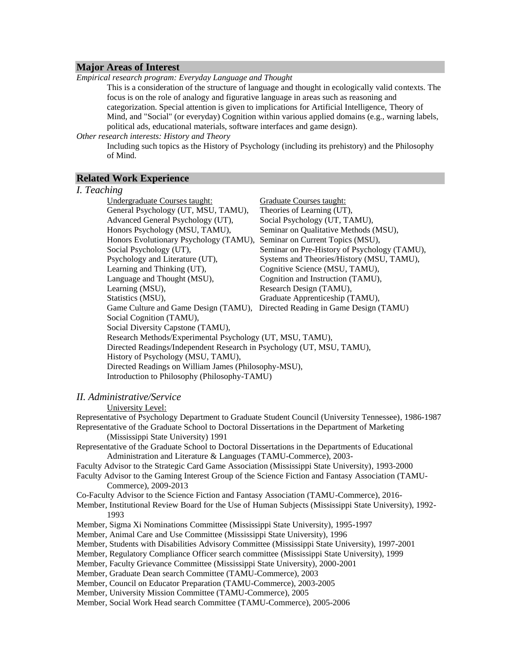# **Major Areas of Interest**

*Empirical research program: Everyday Language and Thought*

This is a consideration of the structure of language and thought in ecologically valid contexts. The focus is on the role of analogy and figurative language in areas such as reasoning and categorization. Special attention is given to implications for Artificial Intelligence, Theory of Mind, and "Social" (or everyday) Cognition within various applied domains (e.g., warning labels, political ads, educational materials, software interfaces and game design).

#### *Other research interests: History and Theory*

Including such topics as the History of Psychology (including its prehistory) and the Philosophy of Mind.

# **Related Work Experience**

## *I. Teaching*

| Undergraduate Courses taught:                                           | <b>Graduate Courses taught:</b>                                             |  |  |
|-------------------------------------------------------------------------|-----------------------------------------------------------------------------|--|--|
| General Psychology (UT, MSU, TAMU),                                     | Theories of Learning (UT),                                                  |  |  |
| Advanced General Psychology (UT),                                       | Social Psychology (UT, TAMU),                                               |  |  |
| Honors Psychology (MSU, TAMU),                                          | Seminar on Qualitative Methods (MSU),                                       |  |  |
| Honors Evolutionary Psychology (TAMU), Seminar on Current Topics (MSU), |                                                                             |  |  |
| Social Psychology (UT),                                                 | Seminar on Pre-History of Psychology (TAMU),                                |  |  |
| Psychology and Literature (UT),                                         | Systems and Theories/History (MSU, TAMU),                                   |  |  |
| Learning and Thinking (UT),                                             | Cognitive Science (MSU, TAMU),                                              |  |  |
| Language and Thought (MSU),                                             | Cognition and Instruction (TAMU),                                           |  |  |
| Learning (MSU),                                                         | Research Design (TAMU),                                                     |  |  |
| Statistics (MSU),                                                       | Graduate Apprenticeship (TAMU),                                             |  |  |
|                                                                         | Game Culture and Game Design (TAMU), Directed Reading in Game Design (TAMU) |  |  |
| Social Cognition (TAMU),                                                |                                                                             |  |  |
| Social Diversity Capstone (TAMU),                                       |                                                                             |  |  |
| Research Methods/Experimental Psychology (UT, MSU, TAMU),               |                                                                             |  |  |
| Directed Readings/Independent Research in Psychology (UT, MSU, TAMU),   |                                                                             |  |  |
| History of Psychology (MSU, TAMU),                                      |                                                                             |  |  |
| Directed Readings on William James (Philosophy-MSU),                    |                                                                             |  |  |
| Introduction to Philosophy (Philosophy-TAMU)                            |                                                                             |  |  |

# *II. Administrative/Service*

University Level:

Representative of Psychology Department to Graduate Student Council (University Tennessee), 1986-1987 Representative of the Graduate School to Doctoral Dissertations in the Department of Marketing (Mississippi State University) 1991

Representative of the Graduate School to Doctoral Dissertations in the Departments of Educational Administration and Literature & Languages (TAMU-Commerce), 2003-

Faculty Advisor to the Strategic Card Game Association (Mississippi State University), 1993-2000

Faculty Advisor to the Gaming Interest Group of the Science Fiction and Fantasy Association (TAMU-Commerce), 2009-2013

Co-Faculty Advisor to the Science Fiction and Fantasy Association (TAMU-Commerce), 2016-

Member, Institutional Review Board for the Use of Human Subjects (Mississippi State University), 1992- 1993

- Member, Sigma Xi Nominations Committee (Mississippi State University), 1995-1997
- Member, Animal Care and Use Committee (Mississippi State University), 1996

Member, Students with Disabilities Advisory Committee (Mississippi State University), 1997-2001

Member, Regulatory Compliance Officer search committee (Mississippi State University), 1999

Member, Faculty Grievance Committee (Mississippi State University), 2000-2001

Member, Graduate Dean search Committee (TAMU-Commerce), 2003

Member, Council on Educator Preparation (TAMU-Commerce), 2003-2005

Member, University Mission Committee (TAMU-Commerce), 2005

Member, Social Work Head search Committee (TAMU-Commerce), 2005-2006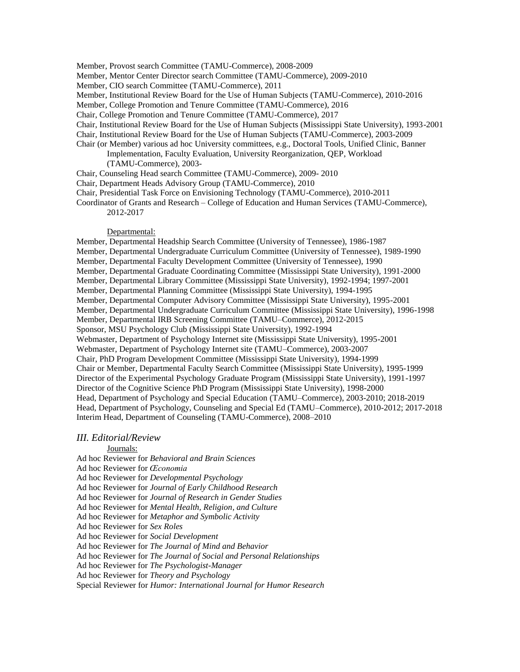Member, Provost search Committee (TAMU-Commerce), 2008-2009

Member, Mentor Center Director search Committee (TAMU-Commerce), 2009-2010

Member, CIO search Committee (TAMU-Commerce), 2011

Member, Institutional Review Board for the Use of Human Subjects (TAMU-Commerce), 2010-2016

Member, College Promotion and Tenure Committee (TAMU-Commerce), 2016

Chair, College Promotion and Tenure Committee (TAMU-Commerce), 2017

- Chair, Institutional Review Board for the Use of Human Subjects (Mississippi State University), 1993-2001
- Chair, Institutional Review Board for the Use of Human Subjects (TAMU-Commerce), 2003-2009
- Chair (or Member) various ad hoc University committees, e.g., Doctoral Tools, Unified Clinic, Banner Implementation, Faculty Evaluation, University Reorganization, QEP, Workload (TAMU-Commerce), 2003-
- Chair, Counseling Head search Committee (TAMU-Commerce), 2009- 2010
- Chair, Department Heads Advisory Group (TAMU-Commerce), 2010
- Chair, Presidential Task Force on Envisioning Technology (TAMU-Commerce), 2010-2011

Coordinator of Grants and Research – College of Education and Human Services (TAMU-Commerce), 2012-2017

#### Departmental:

Member, Departmental Headship Search Committee (University of Tennessee), 1986-1987 Member, Departmental Undergraduate Curriculum Committee (University of Tennessee), 1989-1990 Member, Departmental Faculty Development Committee (University of Tennessee), 1990 Member, Departmental Graduate Coordinating Committee (Mississippi State University), 1991-2000 Member, Departmental Library Committee (Mississippi State University), 1992-1994; 1997-2001 Member, Departmental Planning Committee (Mississippi State University), 1994-1995 Member, Departmental Computer Advisory Committee (Mississippi State University), 1995-2001 Member, Departmental Undergraduate Curriculum Committee (Mississippi State University), 1996-1998 Member, Departmental IRB Screening Committee (TAMU–Commerce), 2012-2015 Sponsor, MSU Psychology Club (Mississippi State University), 1992-1994 Webmaster, Department of Psychology Internet site (Mississippi State University), 1995-2001 Webmaster, Department of Psychology Internet site (TAMU–Commerce), 2003-2007 Chair, PhD Program Development Committee (Mississippi State University), 1994-1999 Chair or Member, Departmental Faculty Search Committee (Mississippi State University), 1995-1999 Director of the Experimental Psychology Graduate Program (Mississippi State University), 1991-1997 Director of the Cognitive Science PhD Program (Mississippi State University), 1998-2000 Head, Department of Psychology and Special Education (TAMU–Commerce), 2003-2010; 2018-2019 Head, Department of Psychology, Counseling and Special Ed (TAMU–Commerce), 2010-2012; 2017-2018 Interim Head, Department of Counseling (TAMU-Commerce), 2008–2010

#### *III. Editorial/Review*

#### Journals:

Ad hoc Reviewer for *Behavioral and Brain Sciences* Ad hoc Reviewer for *Œconomia* Ad hoc Reviewer for *Developmental Psychology* Ad hoc Reviewer for *Journal of Early Childhood Research* Ad hoc Reviewer for *Journal of Research in Gender Studies* Ad hoc Reviewer for *Mental Health, Religion, and Culture* Ad hoc Reviewer for *Metaphor and Symbolic Activity* Ad hoc Reviewer for *Sex Roles* Ad hoc Reviewer for *Social Development* Ad hoc Reviewer for *The Journal of Mind and Behavior* Ad hoc Reviewer for *The Journal of Social and Personal Relationships* Ad hoc Reviewer for *The Psychologist-Manager* Ad hoc Reviewer for *Theory and Psychology* Special Reviewer for *Humor: International Journal for Humor Research*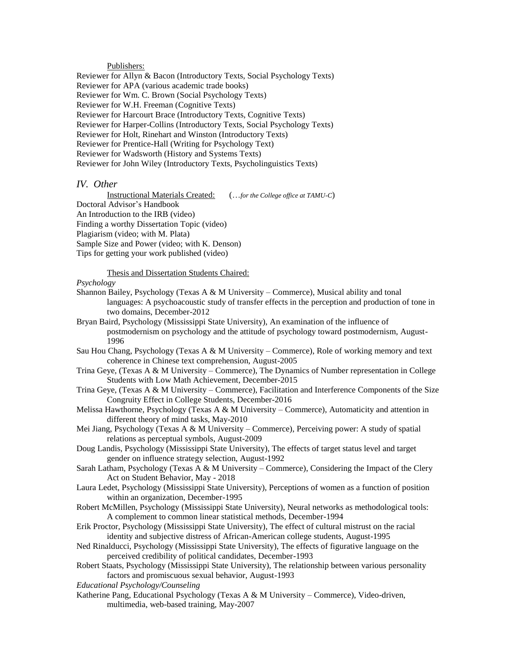# Publishers:

Reviewer for Allyn & Bacon (Introductory Texts, Social Psychology Texts) Reviewer for APA (various academic trade books) Reviewer for Wm. C. Brown (Social Psychology Texts) Reviewer for W.H. Freeman (Cognitive Texts) Reviewer for Harcourt Brace (Introductory Texts, Cognitive Texts) Reviewer for Harper-Collins (Introductory Texts, Social Psychology Texts) Reviewer for Holt, Rinehart and Winston (Introductory Texts) Reviewer for Prentice-Hall (Writing for Psychology Text) Reviewer for Wadsworth (History and Systems Texts) Reviewer for John Wiley (Introductory Texts, Psycholinguistics Texts)

## *IV. Other*

Instructional Materials Created: (…*for the College office at TAMU-C*) Doctoral Advisor's Handbook An Introduction to the IRB (video) Finding a worthy Dissertation Topic (video) Plagiarism (video; with M. Plata) Sample Size and Power (video; with K. Denson) Tips for getting your work published (video)

#### Thesis and Dissertation Students Chaired:

## *Psychology*

- Shannon Bailey, Psychology (Texas  $A \& M$  University Commerce), Musical ability and tonal languages: A psychoacoustic study of transfer effects in the perception and production of tone in two domains, December-2012
- Bryan Baird, Psychology (Mississippi State University), An examination of the influence of postmodernism on psychology and the attitude of psychology toward postmodernism, August-1996
- Sau Hou Chang, Psychology (Texas A  $\&$  M University Commerce), Role of working memory and text coherence in Chinese text comprehension, August-2005
- Trina Geye, (Texas A & M University Commerce), The Dynamics of Number representation in College Students with Low Math Achievement, December-2015
- Trina Geye, (Texas A & M University Commerce), Facilitation and Interference Components of the Size Congruity Effect in College Students, December-2016
- Melissa Hawthorne, Psychology (Texas A & M University Commerce), Automaticity and attention in different theory of mind tasks, May-2010
- Mei Jiang, Psychology (Texas A & M University Commerce), Perceiving power: A study of spatial relations as perceptual symbols, August-2009
- Doug Landis, Psychology (Mississippi State University), The effects of target status level and target gender on influence strategy selection, August-1992
- Sarah Latham, Psychology (Texas A & M University Commerce), Considering the Impact of the Clery Act on Student Behavior, May - 2018
- Laura Ledet, Psychology (Mississippi State University), Perceptions of women as a function of position within an organization, December-1995
- Robert McMillen, Psychology (Mississippi State University), Neural networks as methodological tools: A complement to common linear statistical methods, December-1994
- Erik Proctor, Psychology (Mississippi State University), The effect of cultural mistrust on the racial identity and subjective distress of African-American college students, August-1995
- Ned Rinalducci, Psychology (Mississippi State University), The effects of figurative language on the perceived credibility of political candidates, December-1993
- Robert Staats, Psychology (Mississippi State University), The relationship between various personality factors and promiscuous sexual behavior, August-1993
- *Educational Psychology/Counseling*
- Katherine Pang, Educational Psychology (Texas A & M University Commerce), Video-driven, multimedia, web-based training, May-2007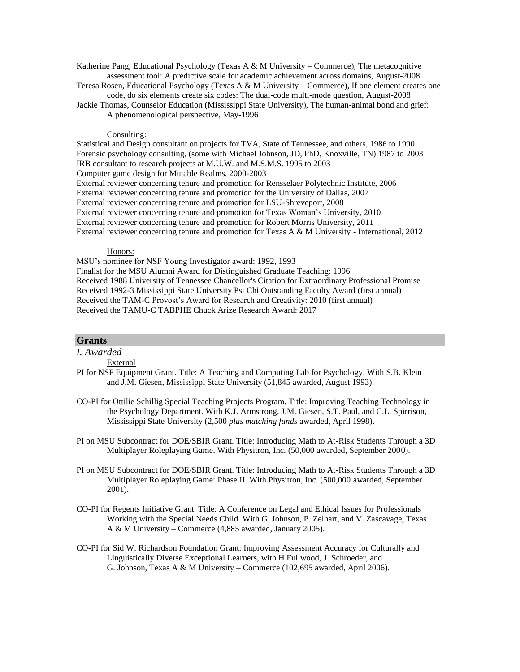Katherine Pang, Educational Psychology (Texas A  $\&$  M University – Commerce), The metacognitive assessment tool: A predictive scale for academic achievement across domains, August-2008

Teresa Rosen, Educational Psychology (Texas A & M University – Commerce), If one element creates one code, do six elements create six codes: The dual-code multi-mode question, August-2008

Jackie Thomas, Counselor Education (Mississippi State University), The human-animal bond and grief: A phenomenological perspective, May-1996

# Consulting:

Statistical and Design consultant on projects for TVA, State of Tennessee, and others, 1986 to 1990 Forensic psychology consulting, (some with Michael Johnson, JD, PhD, Knoxville, TN) 1987 to 2003 IRB consultant to research projects at M.U.W. and M.S.M.S. 1995 to 2003 Computer game design for Mutable Realms, 2000-2003 External reviewer concerning tenure and promotion for Rensselaer Polytechnic Institute, 2006 External reviewer concerning tenure and promotion for the University of Dallas, 2007 External reviewer concerning tenure and promotion for LSU-Shreveport, 2008 External reviewer concerning tenure and promotion for Texas Woman's University, 2010 External reviewer concerning tenure and promotion for Robert Morris University, 2011 External reviewer concerning tenure and promotion for Texas A & M University - International, 2012

#### Honors:

MSU's nominee for NSF Young Investigator award: 1992, 1993

Finalist for the MSU Alumni Award for Distinguished Graduate Teaching: 1996 Received 1988 University of Tennessee Chancellor's Citation for Extraordinary Professional Promise Received 1992-3 Mississippi State University Psi Chi Outstanding Faculty Award (first annual) Received the TAM-C Provost's Award for Research and Creativity: 2010 (first annual) Received the TAMU-C TABPHE Chuck Arize Research Award: 2017

# **Grants**

*I. Awarded*

External

- PI for NSF Equipment Grant. Title: A Teaching and Computing Lab for Psychology. With S.B. Klein and J.M. Giesen, Mississippi State University (51,845 awarded, August 1993).
- CO-PI for Ottilie Schillig Special Teaching Projects Program. Title: Improving Teaching Technology in the Psychology Department. With K.J. Armstrong, J.M. Giesen, S.T. Paul, and C.L. Spirrison, Mississippi State University (2,500 *plus matching funds* awarded, April 1998).
- PI on MSU Subcontract for DOE/SBIR Grant. Title: Introducing Math to At-Risk Students Through a 3D Multiplayer Roleplaying Game. With Physitron, Inc. (50,000 awarded, September 2000).
- PI on MSU Subcontract for DOE/SBIR Grant. Title: Introducing Math to At-Risk Students Through a 3D Multiplayer Roleplaying Game: Phase II. With Physitron, Inc. (500,000 awarded, September 2001).
- CO-PI for Regents Initiative Grant. Title: A Conference on Legal and Ethical Issues for Professionals Working with the Special Needs Child. With G. Johnson, P. Zelhart, and V. Zascavage, Texas A & M University – Commerce (4,885 awarded, January 2005).
- CO-PI for Sid W. Richardson Foundation Grant: Improving Assessment Accuracy for Culturally and Linguistically Diverse Exceptional Learners, with H Fullwood, J. Schroeder, and G. Johnson, Texas A & M University – Commerce (102,695 awarded, April 2006).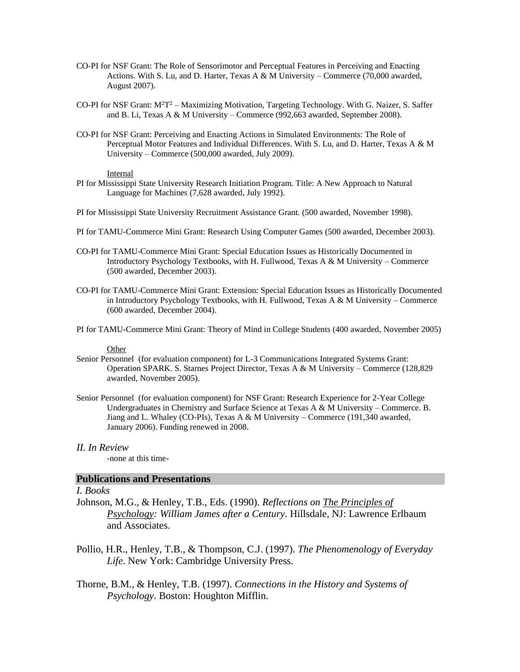- CO-PI for NSF Grant: The Role of Sensorimotor and Perceptual Features in Perceiving and Enacting Actions. With S. Lu, and D. Harter, Texas A & M University – Commerce (70,000 awarded, August 2007).
- CO-PI for NSF Grant: M<sup>2</sup>T<sup>2</sup> Maximizing Motivation, Targeting Technology. With G. Naizer, S. Saffer and B. Li, Texas A & M University – Commerce (992,663 awarded, September 2008).
- CO-PI for NSF Grant: Perceiving and Enacting Actions in Simulated Environments: The Role of Perceptual Motor Features and Individual Differences. With S. Lu, and D. Harter, Texas A & M University – Commerce (500,000 awarded, July 2009).

#### Internal

- PI for Mississippi State University Research Initiation Program. Title: A New Approach to Natural Language for Machines (7,628 awarded, July 1992).
- PI for Mississippi State University Recruitment Assistance Grant. (500 awarded, November 1998).
- PI for TAMU-Commerce Mini Grant: Research Using Computer Games (500 awarded, December 2003).
- CO-PI for TAMU-Commerce Mini Grant: Special Education Issues as Historically Documented in Introductory Psychology Textbooks, with H. Fullwood, Texas A & M University – Commerce (500 awarded, December 2003).
- CO-PI for TAMU-Commerce Mini Grant: Extension: Special Education Issues as Historically Documented in Introductory Psychology Textbooks, with H. Fullwood, Texas A & M University – Commerce (600 awarded, December 2004).
- PI for TAMU-Commerce Mini Grant: Theory of Mind in College Students (400 awarded, November 2005)

# Other

- Senior Personnel (for evaluation component) for L-3 Communications Integrated Systems Grant: Operation SPARK. S. Starnes Project Director, Texas A & M University – Commerce (128,829 awarded, November 2005).
- Senior Personnel (for evaluation component) for NSF Grant: Research Experience for 2-Year College Undergraduates in Chemistry and Surface Science at Texas  $A \& M$  University – Commerce. B. Jiang and L. Whaley (CO-PIs), Texas A & M University – Commerce (191,340 awarded, January 2006). Funding renewed in 2008.

## *II. In Review*

-none at this time-

# **Publications and Presentations**

# *I. Books*

- Johnson, M.G., & Henley, T.B., Eds. (1990). *Reflections on The Principles of Psychology: William James after a Century*. Hillsdale, NJ: Lawrence Erlbaum and Associates.
- Pollio, H.R., Henley, T.B., & Thompson, C.J. (1997). *The Phenomenology of Everyday Life*. New York: Cambridge University Press.
- Thorne, B.M., & Henley, T.B. (1997). *Connections in the History and Systems of Psychology*. Boston: Houghton Mifflin.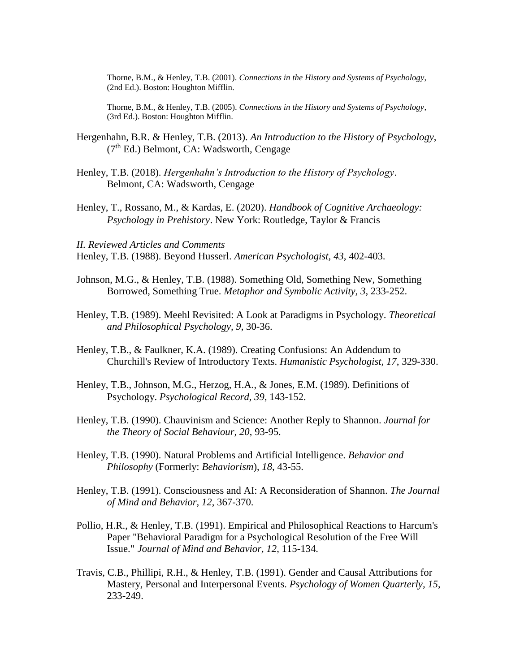Thorne, B.M., & Henley, T.B. (2001). *Connections in the History and Systems of Psychology*, (2nd Ed.). Boston: Houghton Mifflin.

Thorne, B.M., & Henley, T.B. (2005). *Connections in the History and Systems of Psychology*, (3rd Ed.). Boston: Houghton Mifflin.

- Hergenhahn, B.R. & Henley, T.B. (2013). *An Introduction to the History of Psychology*,  $(7<sup>th</sup> Ed.)$  Belmont, CA: Wadsworth, Cengage
- Henley, T.B. (2018). *Hergenhahn's Introduction to the History of Psychology*. Belmont, CA: Wadsworth, Cengage
- Henley, T., Rossano, M., & Kardas, E. (2020). *Handbook of Cognitive Archaeology: Psychology in Prehistory*. New York: Routledge, Taylor & Francis

*II. Reviewed Articles and Comments* Henley, T.B. (1988). Beyond Husserl. *American Psychologist, 43*, 402-403.

- Johnson, M.G., & Henley, T.B. (1988). Something Old, Something New, Something Borrowed, Something True. *Metaphor and Symbolic Activity, 3*, 233-252.
- Henley, T.B. (1989). Meehl Revisited: A Look at Paradigms in Psychology. *Theoretical and Philosophical Psychology, 9*, 30-36.
- Henley, T.B., & Faulkner, K.A. (1989). Creating Confusions: An Addendum to Churchill's Review of Introductory Texts. *Humanistic Psychologist, 17*, 329-330.
- Henley, T.B., Johnson, M.G., Herzog, H.A., & Jones, E.M. (1989). Definitions of Psychology. *Psychological Record, 39*, 143-152.
- Henley, T.B. (1990). Chauvinism and Science: Another Reply to Shannon. *Journal for the Theory of Social Behaviour, 20*, 93-95.
- Henley, T.B. (1990). Natural Problems and Artificial Intelligence. *Behavior and Philosophy* (Formerly: *Behaviorism*), *18*, 43-55.
- Henley, T.B. (1991). Consciousness and AI: A Reconsideration of Shannon. *The Journal of Mind and Behavior, 12*, 367-370.
- Pollio, H.R., & Henley, T.B. (1991). Empirical and Philosophical Reactions to Harcum's Paper "Behavioral Paradigm for a Psychological Resolution of the Free Will Issue." *Journal of Mind and Behavior, 12*, 115-134.
- Travis, C.B., Phillipi, R.H., & Henley, T.B. (1991). Gender and Causal Attributions for Mastery, Personal and Interpersonal Events. *Psychology of Women Quarterly, 15*, 233-249.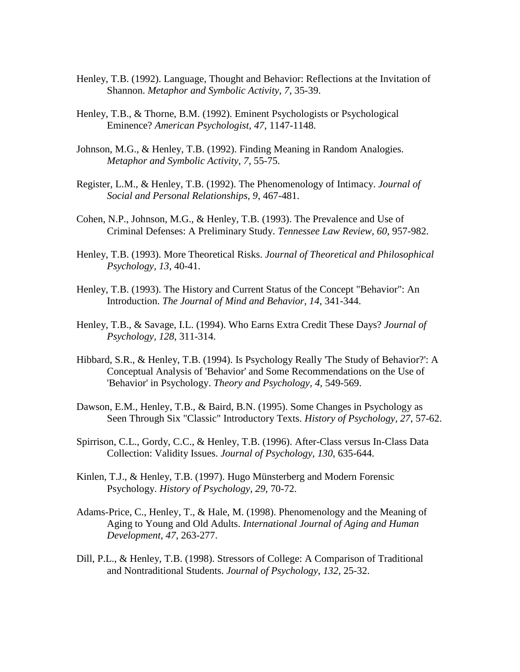- Henley, T.B. (1992). Language, Thought and Behavior: Reflections at the Invitation of Shannon. *Metaphor and Symbolic Activity, 7*, 35-39.
- Henley, T.B., & Thorne, B.M. (1992). Eminent Psychologists or Psychological Eminence? *American Psychologist, 47*, 1147-1148.
- Johnson, M.G., & Henley, T.B. (1992). Finding Meaning in Random Analogies. *Metaphor and Symbolic Activity, 7*, 55-75.
- Register, L.M., & Henley, T.B. (1992). The Phenomenology of Intimacy. *Journal of Social and Personal Relationships, 9*, 467-481.
- Cohen, N.P., Johnson, M.G., & Henley, T.B. (1993). The Prevalence and Use of Criminal Defenses: A Preliminary Study. *Tennessee Law Review, 60*, 957-982.
- Henley, T.B. (1993). More Theoretical Risks. *Journal of Theoretical and Philosophical Psychology, 13*, 40-41.
- Henley, T.B. (1993). The History and Current Status of the Concept "Behavior": An Introduction. *The Journal of Mind and Behavior, 14*, 341-344.
- Henley, T.B., & Savage, I.L. (1994). Who Earns Extra Credit These Days? *Journal of Psychology, 128*, 311-314.
- Hibbard, S.R., & Henley, T.B. (1994). Is Psychology Really 'The Study of Behavior?': A Conceptual Analysis of 'Behavior' and Some Recommendations on the Use of 'Behavior' in Psychology. *Theory and Psychology, 4*, 549-569.
- Dawson, E.M., Henley, T.B., & Baird, B.N. (1995). Some Changes in Psychology as Seen Through Six "Classic" Introductory Texts. *History of Psychology, 27*, 57-62.
- Spirrison, C.L., Gordy, C.C., & Henley, T.B. (1996). After-Class versus In-Class Data Collection: Validity Issues. *Journal of Psychology, 130*, 635-644.
- Kinlen, T.J., & Henley, T.B. (1997). Hugo Münsterberg and Modern Forensic Psychology. *History of Psychology*, *29*, 70-72.
- Adams-Price, C., Henley, T., & Hale, M. (1998). Phenomenology and the Meaning of Aging to Young and Old Adults. *International Journal of Aging and Human Development, 47*, 263-277.
- Dill, P.L., & Henley, T.B. (1998). Stressors of College: A Comparison of Traditional and Nontraditional Students. *Journal of Psychology*, *132*, 25-32.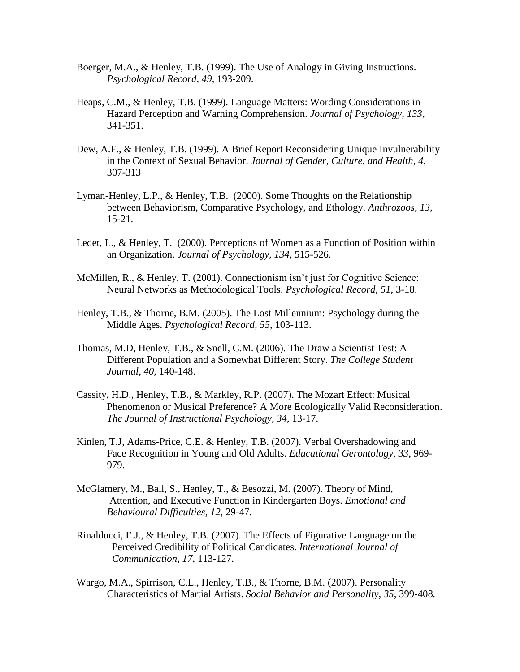- Boerger, M.A., & Henley, T.B. (1999). The Use of Analogy in Giving Instructions. *Psychological Record*, *49*, 193-209.
- Heaps, C.M., & Henley, T.B. (1999). Language Matters: Wording Considerations in Hazard Perception and Warning Comprehension. *Journal of Psychology*, *133*, 341-351.
- Dew, A.F., & Henley, T.B. (1999). A Brief Report Reconsidering Unique Invulnerability in the Context of Sexual Behavior. *Journal of Gender, Culture, and Health*, *4*, 307-313
- Lyman-Henley, L.P., & Henley, T.B. (2000). Some Thoughts on the Relationship between Behaviorism, Comparative Psychology, and Ethology. *Anthrozoos*, *13*, 15-21.
- Ledet, L., & Henley, T. (2000). Perceptions of Women as a Function of Position within an Organization. *Journal of Psychology*, *134*, 515-526.
- McMillen, R., & Henley, T. (2001). Connectionism isn't just for Cognitive Science: Neural Networks as Methodological Tools. *Psychological Record, 51,* 3-18.
- Henley, T.B., & Thorne, B.M. (2005). The Lost Millennium: Psychology during the Middle Ages. *Psychological Record, 55*, 103-113.
- Thomas, M.D, Henley, T.B., & Snell, C.M. (2006). The Draw a Scientist Test: A Different Population and a Somewhat Different Story. *The College Student Journal, 40,* 140-148.
- Cassity, H.D., Henley, T.B., & Markley, R.P. (2007). The Mozart Effect: Musical Phenomenon or Musical Preference? A More Ecologically Valid Reconsideration. *The Journal of Instructional Psychology, 34*, 13-17.
- Kinlen, T.J, Adams-Price, C.E. & Henley, T.B. (2007). Verbal Overshadowing and Face Recognition in Young and Old Adults. *Educational Gerontology*, *33,* 969- 979.
- McGlamery, M., Ball, S., Henley, T., & Besozzi, M. (2007). Theory of Mind, Attention, and Executive Function in Kindergarten Boys. *Emotional and Behavioural Difficulties, 12*, 29-47.
- Rinalducci, E.J., & Henley, T.B. (2007). The Effects of Figurative Language on the Perceived Credibility of Political Candidates. *International Journal of Communication, 17*, 113-127.
- Wargo, M.A., Spirrison, C.L., Henley, T.B., & Thorne, B.M. (2007). Personality Characteristics of Martial Artists. *Social Behavior and Personality, 35*, 399-408*.*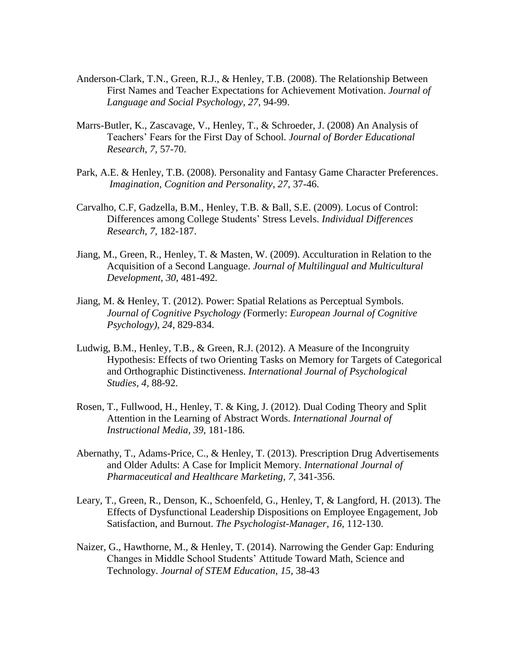- Anderson-Clark, T.N., Green, R.J., & Henley, T.B. (2008). The Relationship Between First Names and Teacher Expectations for Achievement Motivation. *Journal of Language and Social Psychology, 27,* 94-99.
- Marrs-Butler, K., Zascavage, V., Henley, T., & Schroeder, J. (2008) An Analysis of Teachers' Fears for the First Day of School. *Journal of Border Educational Research, 7,* 57-70.
- Park, A.E. & Henley, T.B. (2008). Personality and Fantasy Game Character Preferences. *Imagination, Cognition and Personality, 27*, 37-46.
- Carvalho, C.F, Gadzella, B.M., Henley, T.B. & Ball, S.E. (2009). Locus of Control: Differences among College Students' Stress Levels. *Individual Differences Research*, *7,* 182-187.
- Jiang, M., Green, R., Henley, T. & Masten, W. (2009). Acculturation in Relation to the Acquisition of a Second Language. *Journal of Multilingual and Multicultural Development*, *30*, 481-492*.*
- Jiang, M. & Henley, T. (2012). Power: Spatial Relations as Perceptual Symbols. *Journal of Cognitive Psychology (*Formerly: *European Journal of Cognitive Psychology), 24*, 829-834.
- Ludwig, B.M., Henley, T.B., & Green, R.J. (2012). A Measure of the Incongruity Hypothesis: Effects of two Orienting Tasks on Memory for Targets of Categorical and Orthographic Distinctiveness. *International Journal of Psychological Studies, 4,* 88-92.
- Rosen, T., Fullwood, H., Henley, T. & King, J. (2012). Dual Coding Theory and Split Attention in the Learning of Abstract Words. *International Journal of Instructional Media, 39,* 181-186*.*
- Abernathy, T., Adams-Price, C., & Henley, T. (2013). Prescription Drug Advertisements and Older Adults: A Case for Implicit Memory. *International Journal of Pharmaceutical and Healthcare Marketing, 7,* 341-356.
- Leary, T., Green, R., Denson, K., Schoenfeld, G., Henley, T, & Langford, H. (2013). The Effects of Dysfunctional Leadership Dispositions on Employee Engagement, Job Satisfaction, and Burnout. *The Psychologist-Manager, 16,* 112-130.
- Naizer, G., Hawthorne, M., & Henley, T. (2014). Narrowing the Gender Gap: Enduring Changes in Middle School Students' Attitude Toward Math, Science and Technology. *Journal of STEM Education*, *15*, 38-43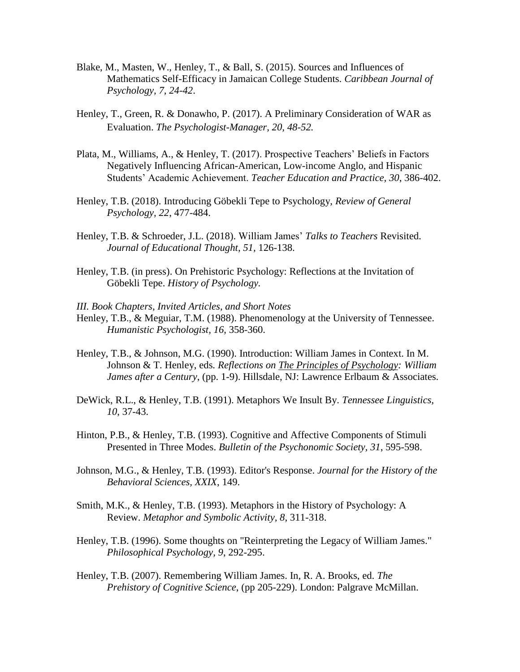- Blake, M., Masten, W., Henley, T., & Ball, S. (2015). Sources and Influences of Mathematics Self-Efficacy in Jamaican College Students. *Caribbean Journal of Psychology, 7, 24-42*.
- Henley, T., Green, R. & Donawho, P. (2017). A Preliminary Consideration of WAR as Evaluation. *The Psychologist-Manager, 20, 48-52.*
- Plata, M., Williams, A., & Henley, T. (2017). Prospective Teachers' Beliefs in Factors Negatively Influencing African-American, Low-income Anglo, and Hispanic Students' Academic Achievement. *Teacher Education and Practice, 30*, 386-402.
- Henley, T.B. (2018). Introducing Göbekli Tepe to Psychology, *Review of General Psychology, 22*, 477-484.
- Henley, T.B. & Schroeder, J.L. (2018). William James' *Talks to Teachers* Revisited. *Journal of Educational Thought, 51,* 126-138.
- Henley, T.B. (in press). On Prehistoric Psychology: Reflections at the Invitation of Göbekli Tepe. *History of Psychology.*
- *III. Book Chapters, Invited Articles, and Short Notes*
- Henley, T.B., & Meguiar, T.M. (1988). Phenomenology at the University of Tennessee. *Humanistic Psychologist, 16*, 358-360.
- Henley, T.B., & Johnson, M.G. (1990). Introduction: William James in Context. In M. Johnson & T. Henley, eds*. Reflections on The Principles of Psychology: William James after a Century*, (pp. 1-9). Hillsdale, NJ: Lawrence Erlbaum & Associates.
- DeWick, R.L., & Henley, T.B. (1991). Metaphors We Insult By. *Tennessee Linguistics, 10*, 37-43.
- Hinton, P.B., & Henley, T.B. (1993). Cognitive and Affective Components of Stimuli Presented in Three Modes. *Bulletin of the Psychonomic Society, 31*, 595-598.
- Johnson, M.G., & Henley, T.B. (1993). Editor's Response. *Journal for the History of the Behavioral Sciences, XXIX*, 149.
- Smith, M.K., & Henley, T.B. (1993). Metaphors in the History of Psychology: A Review. *Metaphor and Symbolic Activity, 8*, 311-318.
- Henley, T.B. (1996). Some thoughts on "Reinterpreting the Legacy of William James." *Philosophical Psychology, 9*, 292-295.
- Henley, T.B. (2007). Remembering William James. In, R. A. Brooks, ed. *The Prehistory of Cognitive Science*, (pp 205-229). London: Palgrave McMillan.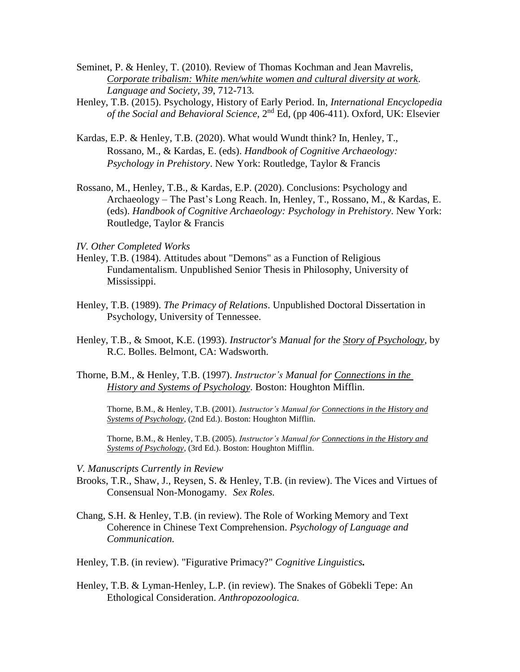- Seminet, P. & Henley, T. (2010). Review of Thomas Kochman and Jean Mavrelis, *Corporate tribalism: White men/white women and cultural diversity at work*. *Language and Society, 39*, 712-713*.*
- Henley, T.B. (2015). Psychology, History of Early Period. In, *International Encyclopedia of the Social and Behavioral Science*, 2nd Ed, (pp 406-411). Oxford, UK: Elsevier
- Kardas, E.P. & Henley, T.B. (2020). What would Wundt think? In, Henley, T., Rossano, M., & Kardas, E. (eds). *Handbook of Cognitive Archaeology: Psychology in Prehistory*. New York: Routledge, Taylor & Francis
- Rossano, M., Henley, T.B., & Kardas, E.P. (2020). Conclusions: Psychology and Archaeology – The Past's Long Reach. In, Henley, T., Rossano, M., & Kardas, E. (eds). *Handbook of Cognitive Archaeology: Psychology in Prehistory*. New York: Routledge, Taylor & Francis

# *IV. Other Completed Works*

- Henley, T.B. (1984). Attitudes about "Demons" as a Function of Religious Fundamentalism. Unpublished Senior Thesis in Philosophy, University of Mississippi.
- Henley, T.B. (1989). *The Primacy of Relations*. Unpublished Doctoral Dissertation in Psychology, University of Tennessee.
- Henley, T.B., & Smoot, K.E. (1993). *Instructor's Manual for the Story of Psychology*, by R.C. Bolles. Belmont, CA: Wadsworth.
- Thorne, B.M., & Henley, T.B. (1997). *Instructor's Manual for Connections in the History and Systems of Psychology*. Boston: Houghton Mifflin.

Thorne, B.M., & Henley, T.B. (2001). *Instructor's Manual for Connections in the History and Systems of Psychology*, (2nd Ed.). Boston: Houghton Mifflin.

Thorne, B.M., & Henley, T.B. (2005). *Instructor's Manual for Connections in the History and Systems of Psychology*, (3rd Ed.). Boston: Houghton Mifflin.

#### *V. Manuscripts Currently in Review*

- Brooks, T.R., Shaw, J., Reysen, S. & Henley, T.B. (in review). The Vices and Virtues of Consensual Non-Monogamy. *Sex Roles.*
- Chang, S.H. & Henley, T.B. (in review). The Role of Working Memory and Text Coherence in Chinese Text Comprehension. *Psychology of Language and Communication.*

Henley, T.B. (in review). "Figurative Primacy?" *Cognitive Linguistics.*

Henley, T.B. & Lyman-Henley, L.P. (in review). The Snakes of Göbekli Tepe: An Ethological Consideration. *Anthropozoologica.*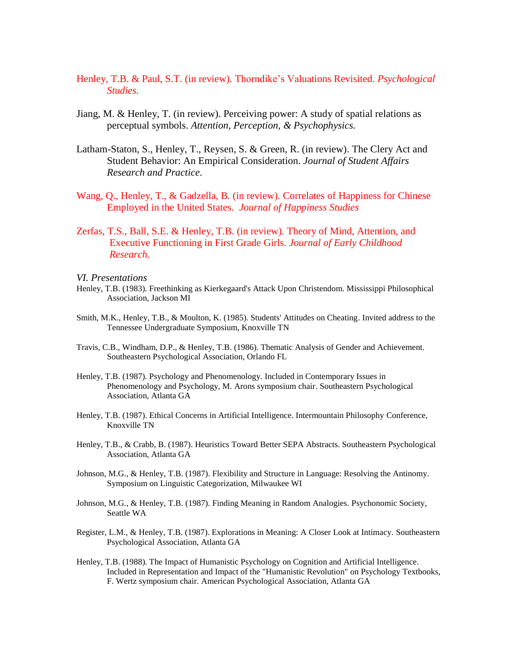- Henley, T.B. & Paul, S.T. (in review). Thorndike's Valuations Revisited. *Psychological Studies.*
- Jiang, M. & Henley, T. (in review). Perceiving power: A study of spatial relations as perceptual symbols. *Attention, Perception, & Psychophysics.*
- Latham-Staton, S., Henley, T., Reysen, S. & Green, R. (in review). The Clery Act and Student Behavior: An Empirical Consideration. *Journal of Student Affairs Research and Practice*.
- Wang, Q., Henley, T., & Gadzella, B. (in review). Correlates of Happiness for Chinese Employed in the United States. *Journal of Happiness Studies*
- Zerfas, T.S., Ball, S.E. & Henley, T.B. (in review). Theory of Mind, Attention, and Executive Functioning in First Grade Girls. *Journal of Early Childhood Research.*

*VI. Presentations*

- Henley, T.B. (1983). Freethinking as Kierkegaard's Attack Upon Christendom. Mississippi Philosophical Association, Jackson MI
- Smith, M.K., Henley, T.B., & Moulton, K. (1985). Students' Attitudes on Cheating. Invited address to the Tennessee Undergraduate Symposium, Knoxville TN
- Travis, C.B., Windham, D.P., & Henley, T.B. (1986). Thematic Analysis of Gender and Achievement. Southeastern Psychological Association, Orlando FL
- Henley, T.B. (1987). Psychology and Phenomenology. Included in Contemporary Issues in Phenomenology and Psychology, M. Arons symposium chair. Southeastern Psychological Association, Atlanta GA
- Henley, T.B. (1987). Ethical Concerns in Artificial Intelligence. Intermountain Philosophy Conference, Knoxville TN
- Henley, T.B., & Crabb, B. (1987). Heuristics Toward Better SEPA Abstracts. Southeastern Psychological Association, Atlanta GA
- Johnson, M.G., & Henley, T.B. (1987). Flexibility and Structure in Language: Resolving the Antinomy. Symposium on Linguistic Categorization, Milwaukee WI
- Johnson, M.G., & Henley, T.B. (1987). Finding Meaning in Random Analogies. Psychonomic Society, Seattle WA
- Register, L.M., & Henley, T.B. (1987). Explorations in Meaning: A Closer Look at Intimacy. Southeastern Psychological Association, Atlanta GA
- Henley, T.B. (1988). The Impact of Humanistic Psychology on Cognition and Artificial Intelligence. Included in Representation and Impact of the "Humanistic Revolution" on Psychology Textbooks, F. Wertz symposium chair. American Psychological Association, Atlanta GA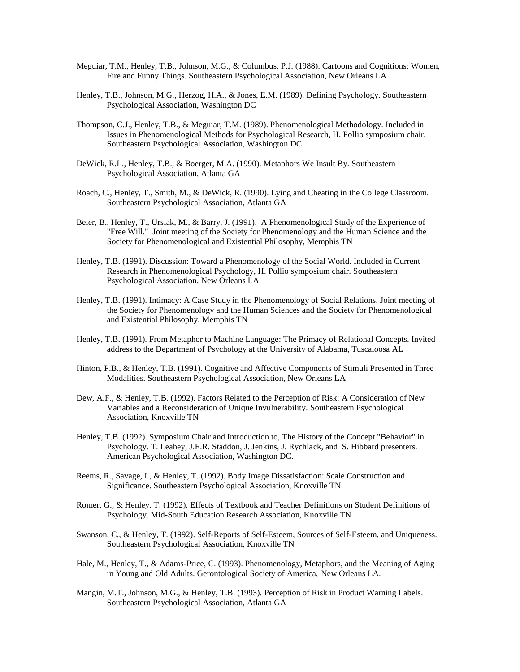- Meguiar, T.M., Henley, T.B., Johnson, M.G., & Columbus, P.J. (1988). Cartoons and Cognitions: Women, Fire and Funny Things. Southeastern Psychological Association, New Orleans LA
- Henley, T.B., Johnson, M.G., Herzog, H.A., & Jones, E.M. (1989). Defining Psychology. Southeastern Psychological Association, Washington DC
- Thompson, C.J., Henley, T.B., & Meguiar, T.M. (1989). Phenomenological Methodology. Included in Issues in Phenomenological Methods for Psychological Research, H. Pollio symposium chair. Southeastern Psychological Association, Washington DC
- DeWick, R.L., Henley, T.B., & Boerger, M.A. (1990). Metaphors We Insult By. Southeastern Psychological Association, Atlanta GA
- Roach, C., Henley, T., Smith, M., & DeWick, R. (1990). Lying and Cheating in the College Classroom. Southeastern Psychological Association, Atlanta GA
- Beier, B., Henley, T., Ursiak, M., & Barry, J. (1991). A Phenomenological Study of the Experience of "Free Will." Joint meeting of the Society for Phenomenology and the Human Science and the Society for Phenomenological and Existential Philosophy, Memphis TN
- Henley, T.B. (1991). Discussion: Toward a Phenomenology of the Social World. Included in Current Research in Phenomenological Psychology, H. Pollio symposium chair. Southeastern Psychological Association, New Orleans LA
- Henley, T.B. (1991). Intimacy: A Case Study in the Phenomenology of Social Relations. Joint meeting of the Society for Phenomenology and the Human Sciences and the Society for Phenomenological and Existential Philosophy, Memphis TN
- Henley, T.B. (1991). From Metaphor to Machine Language: The Primacy of Relational Concepts. Invited address to the Department of Psychology at the University of Alabama, Tuscaloosa AL
- Hinton, P.B., & Henley, T.B. (1991). Cognitive and Affective Components of Stimuli Presented in Three Modalities. Southeastern Psychological Association, New Orleans LA
- Dew, A.F., & Henley, T.B. (1992). Factors Related to the Perception of Risk: A Consideration of New Variables and a Reconsideration of Unique Invulnerability. Southeastern Psychological Association, Knoxville TN
- Henley, T.B. (1992). Symposium Chair and Introduction to, The History of the Concept "Behavior" in Psychology. T. Leahey, J.E.R. Staddon, J. Jenkins, J. Rychlack, and S. Hibbard presenters. American Psychological Association, Washington DC.
- Reems, R., Savage, I., & Henley, T. (1992). Body Image Dissatisfaction: Scale Construction and Significance. Southeastern Psychological Association, Knoxville TN
- Romer, G., & Henley. T. (1992). Effects of Textbook and Teacher Definitions on Student Definitions of Psychology. Mid-South Education Research Association, Knoxville TN
- Swanson, C., & Henley, T. (1992). Self-Reports of Self-Esteem, Sources of Self-Esteem, and Uniqueness. Southeastern Psychological Association, Knoxville TN
- Hale, M., Henley, T., & Adams-Price, C. (1993). Phenomenology, Metaphors, and the Meaning of Aging in Young and Old Adults. Gerontological Society of America, New Orleans LA.
- Mangin, M.T., Johnson, M.G., & Henley, T.B. (1993). Perception of Risk in Product Warning Labels. Southeastern Psychological Association, Atlanta GA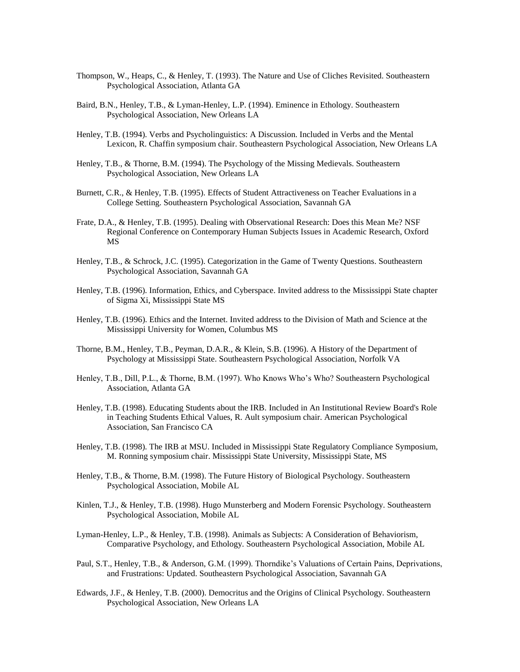- Thompson, W., Heaps, C., & Henley, T. (1993). The Nature and Use of Cliches Revisited. Southeastern Psychological Association, Atlanta GA
- Baird, B.N., Henley, T.B., & Lyman-Henley, L.P. (1994). Eminence in Ethology. Southeastern Psychological Association, New Orleans LA
- Henley, T.B. (1994). Verbs and Psycholinguistics: A Discussion. Included in Verbs and the Mental Lexicon, R. Chaffin symposium chair. Southeastern Psychological Association, New Orleans LA
- Henley, T.B., & Thorne, B.M. (1994). The Psychology of the Missing Medievals. Southeastern Psychological Association, New Orleans LA
- Burnett, C.R., & Henley, T.B. (1995). Effects of Student Attractiveness on Teacher Evaluations in a College Setting. Southeastern Psychological Association, Savannah GA
- Frate, D.A., & Henley, T.B. (1995). Dealing with Observational Research: Does this Mean Me? NSF Regional Conference on Contemporary Human Subjects Issues in Academic Research, Oxford MS
- Henley, T.B., & Schrock, J.C. (1995). Categorization in the Game of Twenty Questions. Southeastern Psychological Association, Savannah GA
- Henley, T.B. (1996). Information, Ethics, and Cyberspace. Invited address to the Mississippi State chapter of Sigma Xi, Mississippi State MS
- Henley, T.B. (1996). Ethics and the Internet. Invited address to the Division of Math and Science at the Mississippi University for Women, Columbus MS
- Thorne, B.M., Henley, T.B., Peyman, D.A.R., & Klein, S.B. (1996). A History of the Department of Psychology at Mississippi State. Southeastern Psychological Association, Norfolk VA
- Henley, T.B., Dill, P.L., & Thorne, B.M. (1997). Who Knows Who's Who? Southeastern Psychological Association, Atlanta GA
- Henley, T.B. (1998). Educating Students about the IRB. Included in An Institutional Review Board's Role in Teaching Students Ethical Values, R. Ault symposium chair. American Psychological Association, San Francisco CA
- Henley, T.B. (1998). The IRB at MSU. Included in Mississippi State Regulatory Compliance Symposium, M. Ronning symposium chair. Mississippi State University, Mississippi State, MS
- Henley, T.B., & Thorne, B.M. (1998). The Future History of Biological Psychology. Southeastern Psychological Association, Mobile AL
- Kinlen, T.J., & Henley, T.B. (1998). Hugo Munsterberg and Modern Forensic Psychology. Southeastern Psychological Association, Mobile AL
- Lyman-Henley, L.P., & Henley, T.B. (1998). Animals as Subjects: A Consideration of Behaviorism, Comparative Psychology, and Ethology. Southeastern Psychological Association, Mobile AL
- Paul, S.T., Henley, T.B., & Anderson, G.M. (1999). Thorndike's Valuations of Certain Pains, Deprivations, and Frustrations: Updated. Southeastern Psychological Association, Savannah GA
- Edwards, J.F., & Henley, T.B. (2000). Democritus and the Origins of Clinical Psychology. Southeastern Psychological Association, New Orleans LA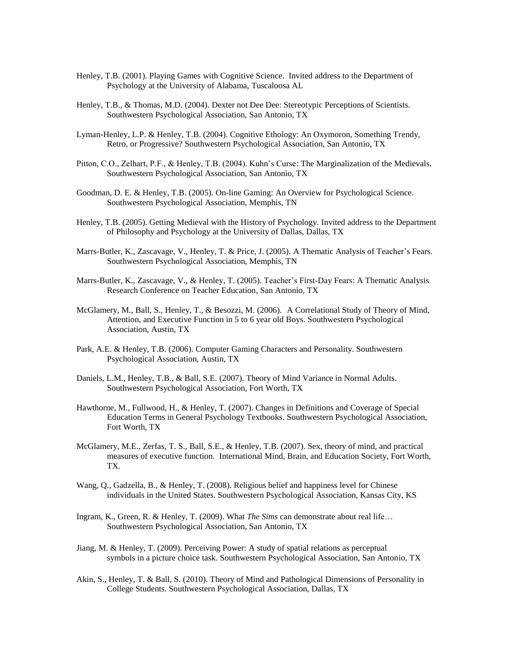- Henley, T.B. (2001). Playing Games with Cognitive Science. Invited address to the Department of Psychology at the University of Alabama, Tuscaloosa AL
- Henley, T.B., & Thomas, M.D. (2004). Dexter not Dee Dee: Stereotypic Perceptions of Scientists. Southwestern Psychological Association, San Antonio, TX
- Lyman-Henley, L.P. & Henley, T.B. (2004). Cognitive Ethology: An Oxymoron, Something Trendy, Retro, or Progressive? Southwestern Psychological Association, San Antonio, TX
- Pitton, C.O., Zelhart, P.F., & Henley, T.B. (2004). Kuhn's Curse: The Marginalization of the Medievals. Southwestern Psychological Association, San Antonio, TX
- Goodman, D. E. & Henley, T.B. (2005). On-line Gaming: An Overview for Psychological Science. Southwestern Psychological Association, Memphis, TN
- Henley, T.B. (2005). Getting Medieval with the History of Psychology. Invited address to the Department of Philosophy and Psychology at the University of Dallas, Dallas, TX
- Marrs-Butler, K., Zascavage, V., Henley, T. & Price, J. (2005). A Thematic Analysis of Teacher's Fears. Southwestern Psychological Association, Memphis, TN
- Marrs-Butler, K., Zascavage, V., & Henley, T. (2005). Teacher's First-Day Fears: A Thematic Analysis Research Conference on Teacher Education, San Antonio, TX
- McGlamery, M., Ball, S., Henley, T., & Besozzi, M. (2006). A Correlational Study of Theory of Mind, Attention, and Executive Function in 5 to 6 year old Boys. Southwestern Psychological Association, Austin, TX
- Park, A.E. & Henley, T.B. (2006). Computer Gaming Characters and Personality. Southwestern Psychological Association, Austin, TX
- Daniels, L.M., Henley, T.B., & Ball, S.E. (2007). Theory of Mind Variance in Normal Adults. Southwestern Psychological Association, Fort Worth, TX
- Hawthorne, M., Fullwood, H., & Henley, T. (2007). Changes in Definitions and Coverage of Special Education Terms in General Psychology Textbooks. Southwestern Psychological Association, Fort Worth, TX
- McGlamery, M.E., Zerfas, T. S., Ball, S.E., & Henley, T.B. (2007). Sex, theory of mind, and practical measures of executive function. International Mind, Brain, and Education Society, Fort Worth, TX.
- Wang, Q., Gadzella, B., & Henley, T. (2008). Religious belief and happiness level for Chinese individuals in the United States. Southwestern Psychological Association, Kansas City, KS
- Ingram, K., Green, R. & Henley, T. (2009). What *The Sims* can demonstrate about real life… Southwestern Psychological Association, San Antonio, TX
- Jiang, M. & Henley, T. (2009). Perceiving Power: A study of spatial relations as perceptual symbols in a picture choice task. Southwestern Psychological Association, San Antonio, TX
- Akin, S., Henley, T. & Ball, S. (2010). Theory of Mind and Pathological Dimensions of Personality in College Students. Southwestern Psychological Association, Dallas, TX